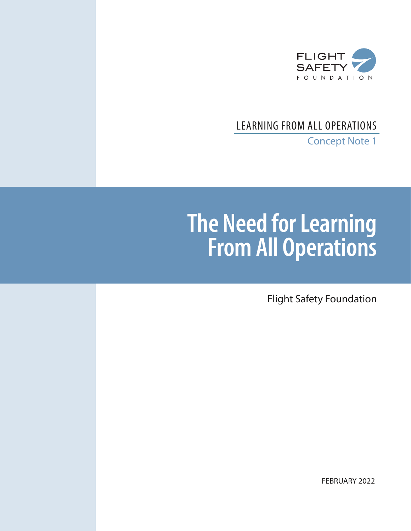

# LEARNING FROM ALL OPERATIONS

Concept Note 1

# **The Need for Learning From All Operations**

Flight Safety Foundation

FEBRUARY 2022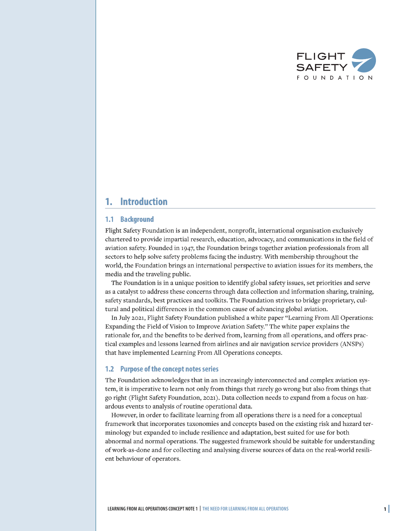

#### **Introduction** 1.

#### **Background**  $1.1$

Flight Safety Foundation is an independent, nonprofit, international organisation exclusively chartered to provide impartial research, education, advocacy, and communications in the field of aviation safety. Founded in 1947, the Foundation brings together aviation professionals from all sectors to help solve safety problems facing the industry. With membership throughout the world, the Foundation brings an international perspective to aviation issues for its members, the media and the traveling public.

The Foundation is in a unique position to identify global safety issues, set priorities and serve as a catalyst to address these concerns through data collection and information sharing, training, safety standards, best practices and toolkits. The Foundation strives to bridge proprietary, cultural and political differences in the common cause of advancing global aviation.

In July 2021, Flight Safety Foundation published a white paper "Learning From All Operations: Expanding the Field of Vision to Improve Aviation Safety." The white paper explains the rationale for, and the benefits to be derived from, learning from all operations, and offers practical examples and lessons learned from airlines and air navigation service providers (ANSPs) that have implemented Learning From All Operations concepts.

#### $1.2$ **Purpose of the concept notes series**

The Foundation acknowledges that in an increasingly interconnected and complex aviation system, it is imperative to learn not only from things that rarely go wrong but also from things that go right (Flight Safety Foundation, 2021). Data collection needs to expand from a focus on hazardous events to analysis of routine operational data.

However, in order to facilitate learning from all operations there is a need for a conceptual framework that incorporates taxonomies and concepts based on the existing risk and hazard terminology but expanded to include resilience and adaptation, best suited for use for both abnormal and normal operations. The suggested framework should be suitable for understanding of work-as-done and for collecting and analysing diverse sources of data on the real-world resilient behaviour of operators.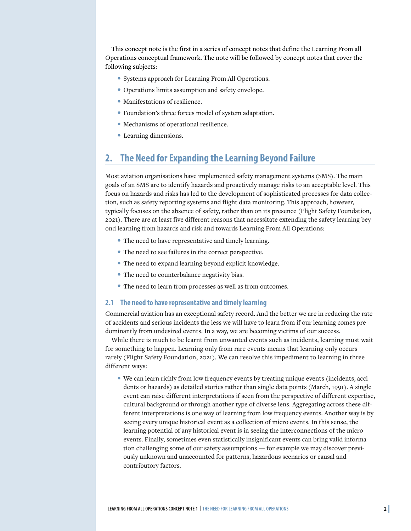This concept note is the first in a series of concept notes that define the Learning From all Operations conceptual framework. The note will be followed by concept notes that cover the following subjects:

- Systems approach for Learning From All Operations.
- Operations limits assumption and safety envelope.
- Manifestations of resilience.
- Foundation's three forces model of system adaptation.
- Mechanisms of operational resilience.
- Learning dimensions.

# **2. The Need for Expanding the Learning Beyond Failure**

Most aviation organisations have implemented safety management systems (SMS). The main goals of an SMS are to identify hazards and proactively manage risks to an acceptable level. This focus on hazards and risks has led to the development of sophisticated processes for data collection, such as safety reporting systems and flight data monitoring. This approach, however, typically focuses on the absence of safety, rather than on its presence (Flight Safety Foundation, 2021). There are at least five different reasons that necessitate extending the safety learning beyond learning from hazards and risk and towards Learning From All Operations:

- The need to have representative and timely learning.
- The need to see failures in the correct perspective.
- The need to expand learning beyond explicit knowledge.
- The need to counterbalance negativity bias.
- The need to learn from processes as well as from outcomes.

#### **2.1 The need to have representative and timely learning**

Commercial aviation has an exceptional safety record. And the better we are in reducing the rate of accidents and serious incidents the less we will have to learn from if our learning comes predominantly from undesired events. In a way, we are becoming victims of our success.

While there is much to be learnt from unwanted events such as incidents, learning must wait for something to happen. Learning only from rare events means that learning only occurs rarely (Flight Safety Foundation, 2021). We can resolve this impediment to learning in three different ways:

• We can learn richly from low frequency events by treating unique events (incidents, accidents or hazards) as detailed stories rather than single data points (March, 1991). A single event can raise different interpretations if seen from the perspective of different expertise, cultural background or through another type of diverse lens. Aggregating across these different interpretations is one way of learning from low frequency events. Another way is by seeing every unique historical event as a collection of micro events. In this sense, the learning potential of any historical event is in seeing the interconnections of the micro events. Finally, sometimes even statistically insignificant events can bring valid information challenging some of our safety assumptions — for example we may discover previously unknown and unaccounted for patterns, hazardous scenarios or causal and contributory factors.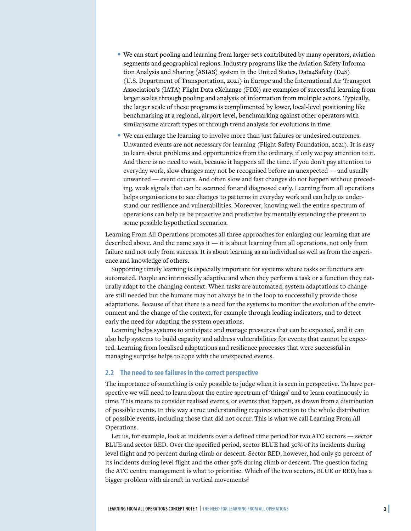- We can start pooling and learning from larger sets contributed by many operators, aviation segments and geographical regions. Industry programs like the Aviation Safety Information Analysis and Sharing (ASIAS) system in the United States, Data4Safety (D4S) (U.S. Department of Transportation, 2021) in Europe and the International Air Transport Association's (IATA) Flight Data eXchange (FDX) are examples of successful learning from larger scales through pooling and analysis of information from multiple actors. Typically, the larger scale of these programs is complimented by lower, local-level positioning like benchmarking at a regional, airport level, benchmarking against other operators with similar/same aircraft types or through trend analysis for evolutions in time.
- We can enlarge the learning to involve more than just failures or undesired outcomes. Unwanted events are not necessary for learning (Flight Safety Foundation, 2021). It is easy to learn about problems and opportunities from the ordinary, if only we pay attention to it. And there is no need to wait, because it happens all the time. If you don't pay attention to everyday work, slow changes may not be recognised before an unexpected — and usually unwanted — event occurs. And often slow and fast changes do not happen without preceding, weak signals that can be scanned for and diagnosed early. Learning from all operations helps organisations to see changes to patterns in everyday work and can help us understand our resilience and vulnerabilities. Moreover, knowing well the entire spectrum of operations can help us be proactive and predictive by mentally extending the present to some possible hypothetical scenarios.

Learning From All Operations promotes all three approaches for enlarging our learning that are described above. And the name says it — it is about learning from all operations, not only from failure and not only from success. It is about learning as an individual as well as from the experience and knowledge of others.

Supporting timely learning is especially important for systems where tasks or functions are automated. People are intrinsically adaptive and when they perform a task or a function they naturally adapt to the changing context. When tasks are automated, system adaptations to change are still needed but the humans may not always be in the loop to successfully provide those adaptations. Because of that there is a need for the systems to monitor the evolution of the environment and the change of the context, for example through leading indicators, and to detect early the need for adapting the system operations.

Learning helps systems to anticipate and manage pressures that can be expected, and it can also help systems to build capacity and address vulnerabilities for events that cannot be expected. Learning from localised adaptations and resilience processes that were successful in managing surprise helps to cope with the unexpected events.

### **2.2 The need to see failures in the correct perspective**

The importance of something is only possible to judge when it is seen in perspective. To have perspective we will need to learn about the entire spectrum of 'things' and to learn continuously in time. This means to consider realised events, or events that happen, as drawn from a distribution of possible events. In this way a true understanding requires attention to the whole distribution of possible events, including those that did not occur. This is what we call Learning From All Operations.

Let us, for example, look at incidents over a defined time period for two ATC sectors — sector BLUE and sector RED. Over the specified period, sector BLUE had 30% of its incidents during level flight and 70 percent during climb or descent. Sector RED, however, had only 50 percent of its incidents during level flight and the other 50% during climb or descent. The question facing the ATC centre management is what to prioritise. Which of the two sectors, BLUE or RED, has a bigger problem with aircraft in vertical movements?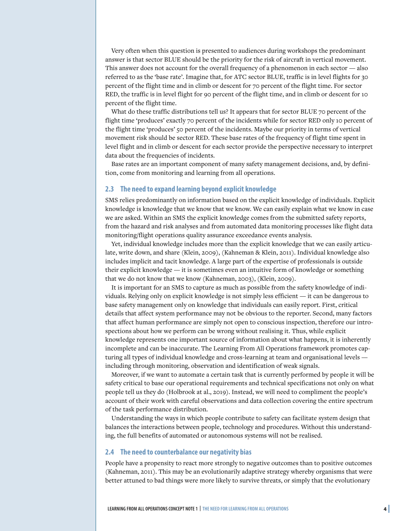Very often when this question is presented to audiences during workshops the predominant answer is that sector BLUE should be the priority for the risk of aircraft in vertical movement. This answer does not account for the overall frequency of a phenomenon in each sector — also referred to as the 'base rate'. Imagine that, for ATC sector BLUE, traffic is in level flights for 30 percent of the flight time and in climb or descent for 70 percent of the flight time. For sector RED, the traffic is in level flight for 90 percent of the flight time, and in climb or descent for 10 percent of the flight time.

What do these traffic distributions tell us? It appears that for sector BLUE 70 percent of the flight time 'produces' exactly 70 percent of the incidents while for sector RED only 10 percent of the flight time 'produces' 50 percent of the incidents. Maybe our priority in terms of vertical movement risk should be sector RED. These base rates of the frequency of flight time spent in level flight and in climb or descent for each sector provide the perspective necessary to interpret data about the frequencies of incidents.

Base rates are an important component of many safety management decisions, and, by definition, come from monitoring and learning from all operations.

#### **2.3 The need to expand learning beyond explicit knowledge**

SMS relies predominantly on information based on the explicit knowledge of individuals. Explicit knowledge is knowledge that we know that we know. We can easily explain what we know in case we are asked. Within an SMS the explicit knowledge comes from the submitted safety reports, from the hazard and risk analyses and from automated data monitoring processes like flight data monitoring/flight operations quality assurance exceedance events analysis.

Yet, individual knowledge includes more than the explicit knowledge that we can easily articulate, write down, and share (Klein, 2009), (Kahneman & Klein, 2011). Individual knowledge also includes implicit and tacit knowledge. A large part of the expertise of professionals is outside their explicit knowledge — it is sometimes even an intuitive form of knowledge or something that we do not know that we know (Kahneman, 2003), (Klein, 2009).

It is important for an SMS to capture as much as possible from the safety knowledge of individuals. Relying only on explicit knowledge is not simply less efficient — it can be dangerous to base safety management only on knowledge that individuals can easily report. First, critical details that affect system performance may not be obvious to the reporter. Second, many factors that affect human performance are simply not open to conscious inspection, therefore our introspections about how we perform can be wrong without realising it. Thus, while explicit knowledge represents one important source of information about what happens, it is inherently incomplete and can be inaccurate. The Learning From All Operations framework promotes capturing all types of individual knowledge and cross-learning at team and organisational levels including through monitoring, observation and identification of weak signals.

Moreover, if we want to automate a certain task that is currently performed by people it will be safety critical to base our operational requirements and technical specifications not only on what people tell us they do (Holbrook at al., 2019). Instead, we will need to compliment the people's account of their work with careful observations and data collection covering the entire spectrum of the task performance distribution.

Understanding the ways in which people contribute to safety can facilitate system design that balances the interactions between people, technology and procedures. Without this understanding, the full benefits of automated or autonomous systems will not be realised.

#### **2.4 The need to counterbalance our negativity bias**

People have a propensity to react more strongly to negative outcomes than to positive outcomes (Kahneman, 2011). This may be an evolutionarily adaptive strategy whereby organisms that were better attuned to bad things were more likely to survive threats, or simply that the evolutionary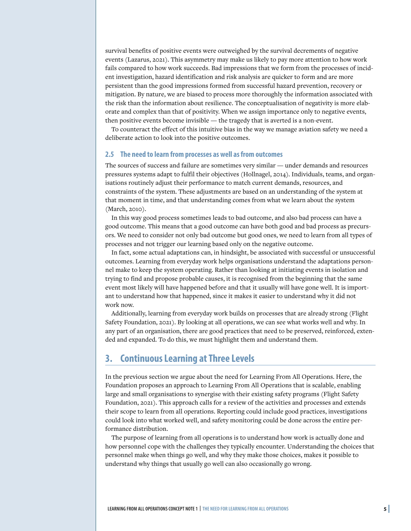survival benefits of positive events were outweighed by the survival decrements of negative events (Lazarus, 2021). This asymmetry may make us likely to pay more attention to how work fails compared to how work succeeds. Bad impressions that we form from the processes of incident investigation, hazard identification and risk analysis are quicker to form and are more persistent than the good impressions formed from successful hazard prevention, recovery or mitigation. By nature, we are biased to process more thoroughly the information associated with the risk than the information about resilience. The conceptualisation of negativity is more elaborate and complex than that of positivity. When we assign importance only to negative events, then positive events become invisible — the tragedy that is averted is a non-event.

To counteract the effect of this intuitive bias in the way we manage aviation safety we need a deliberate action to look into the positive outcomes.

### **2.5 The need to learn from processes as well as from outcomes**

The sources of success and failure are sometimes very similar — under demands and resources pressures systems adapt to fulfil their objectives (Hollnagel, 2014). Individuals, teams, and organisations routinely adjust their performance to match current demands, resources, and constraints of the system. These adjustments are based on an understanding of the system at that moment in time, and that understanding comes from what we learn about the system (March, 2010).

In this way good process sometimes leads to bad outcome, and also bad process can have a good outcome. This means that a good outcome can have both good and bad process as precursors. We need to consider not only bad outcome but good ones, we need to learn from all types of processes and not trigger our learning based only on the negative outcome.

In fact, some actual adaptations can, in hindsight, be associated with successful or unsuccessful outcomes. Learning from everyday work helps organisations understand the adaptations personnel make to keep the system operating. Rather than looking at initiating events in isolation and trying to find and propose probable causes, it is recognised from the beginning that the same event most likely will have happened before and that it usually will have gone well. It is important to understand how that happened, since it makes it easier to understand why it did not work now.

Additionally, learning from everyday work builds on processes that are already strong (Flight Safety Foundation, 2021). By looking at all operations, we can see what works well and why. In any part of an organisation, there are good practices that need to be preserved, reinforced, extended and expanded. To do this, we must highlight them and understand them.

## **3. Continuous Learning at Three Levels**

In the previous section we argue about the need for Learning From All Operations. Here, the Foundation proposes an approach to Learning From All Operations that is scalable, enabling large and small organisations to synergise with their existing safety programs (Flight Safety Foundation, 2021). This approach calls for a review of the activities and processes and extends their scope to learn from all operations. Reporting could include good practices, investigations could look into what worked well, and safety monitoring could be done across the entire performance distribution.

The purpose of learning from all operations is to understand how work is actually done and how personnel cope with the challenges they typically encounter. Understanding the choices that personnel make when things go well, and why they make those choices, makes it possible to understand why things that usually go well can also occasionally go wrong.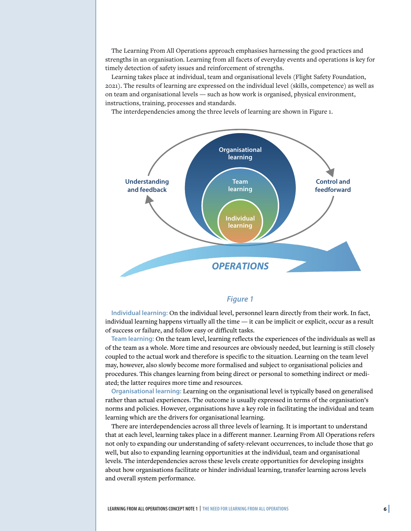The Learning From All Operations approach emphasises harnessing the good practices and strengths in an organisation. Learning from all facets of everyday events and operations is key for timely detection of safety issues and reinforcement of strengths.

Learning takes place at individual, team and organisational levels (Flight Safety Foundation, 2021). The results of learning are expressed on the individual level (skills, competence) as well as on team and organisational levels — such as how work is organised, physical environment, instructions, training, processes and standards.

The interdependencies among the three levels of learning are shown in Figure 1.



## *Figure 1*

**Individual learning:** On the individual level, personnel learn directly from their work. In fact, individual learning happens virtually all the time — it can be implicit or explicit, occur as a result of success or failure, and follow easy or difficult tasks.

**Team learning:** On the team level, learning reflects the experiences of the individuals as well as of the team as a whole. More time and resources are obviously needed, but learning is still closely coupled to the actual work and therefore is specific to the situation. Learning on the team level may, however, also slowly become more formalised and subject to organisational policies and procedures. This changes learning from being direct or personal to something indirect or mediated; the latter requires more time and resources.

**Organisational learning:** Learning on the organisational level is typically based on generalised rather than actual experiences. The outcome is usually expressed in terms of the organisation's norms and policies. However, organisations have a key role in facilitating the individual and team learning which are the drivers for organisational learning.

There are interdependencies across all three levels of learning. It is important to understand that at each level, learning takes place in a different manner. Learning From All Operations refers not only to expanding our understanding of safety-relevant occurrences, to include those that go well, but also to expanding learning opportunities at the individual, team and organisational levels. The interdependencies across these levels create opportunities for developing insights about how organisations facilitate or hinder individual learning, transfer learning across levels and overall system performance.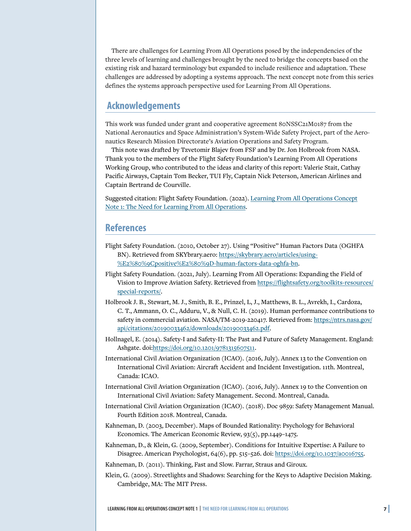There are challenges for Learning From All Operations posed by the independencies of the three levels of learning and challenges brought by the need to bridge the concepts based on the existing risk and hazard terminology but expanded to include resilience and adaptation. These challenges are addressed by adopting a systems approach. The next concept note from this series defines the systems approach perspective used for Learning From All Operations.

# **Acknowledgements**

This work was funded under grant and cooperative agreement 80NSSC21M0187 from the National Aeronautics and Space Administration's System-Wide Safety Project, part of the Aeronautics Research Mission Directorate's Aviation Operations and Safety Program.

This note was drafted by Tzvetomir Blajev from FSF and by Dr. Jon Holbrook from NASA. Thank you to the members of the Flight Safety Foundation's Learning From All Operations Working Group, who contributed to the ideas and clarity of this report: Valerie Stait, Cathay Pacific Airways, Captain Tom Becker, TUI Fly, Captain Nick Peterson, American Airlines and Captain Bertrand de Courville.

Suggested citation: Flight Safety Foundation. (2022). [Learning From All Operations Concept](https://flightsafety.org/toolkits-resources/learning-from-all-operations/) [Note 1: The Need for Learning From All Operations](https://flightsafety.org/toolkits-resources/learning-from-all-operations/).

## **References**

- Flight Safety Foundation. (2010, October 27). Using "Positive" Human Factors Data (OGHFA BN). Retrieved from SKYbrary.aero: [https://skybrary.aero/articles/using-](https://skybrary.aero/articles/using-%E2%80%9Cpositive%E2%80%9D-human-factors-data-oghfa-bn) [%E2%80%9Cpositive%E2%80%9D-human-factors-data-oghfa-bn](https://skybrary.aero/articles/using-%E2%80%9Cpositive%E2%80%9D-human-factors-data-oghfa-bn).
- Flight Safety Foundation. (2021, July). Learning From All Operations: Expanding the Field of Vision to Improve Aviation Safety. Retrieved from [https://flightsafety.org/toolkits-resources/](https://flightsafety.org/toolkits-resources/special-reports/) [special-reports/.](https://flightsafety.org/toolkits-resources/special-reports/)
- Holbrook J. B., Stewart, M. J., Smith, B. E., Prinzel, L, J., Matthews, B. L., Avrekh, I., Cardoza, C. T., Ammann, O. C., Adduru, V., & Null, C. H. (2019). Human performance contributions to safety in commercial aviation. NASA/TM-2019-220417. Retrieved from: [https://ntrs.nasa.gov/](https://ntrs.nasa.gov/api/citations/20190033462/downloads/20190033462.pdf) [api/citations/20190033462/downloads/20190033462.pdf.](https://ntrs.nasa.gov/api/citations/20190033462/downloads/20190033462.pdf)
- Hollnagel, E. (2014). Safety-I and Safety-II: The Past and Future of Safety Management. England: Ashgate. doi:[https://doi.org/10.1201/9781315607511.](https://doi.org/10.1201/9781315607511)
- International Civil Aviation Organization (ICAO). (2016, July). Annex 13 to the Convention on International Civil Aviation: Aircraft Accident and Incident Investigation. 11th. Montreal, Canada: ICAO.
- International Civil Aviation Organization (ICAO). (2016, July). Annex 19 to the Convention on International Civil Aviation: Safety Management. Second. Montreal, Canada.
- International Civil Aviation Organization (ICAO). (2018). Doc 9859: Safety Management Manual. Fourth Edition 2018. Montreal, Canada.
- Kahneman, D. (2003, December). Maps of Bounded Rationality: Psychology for Behavioral Economics. The American Economic Review, 93(5), pp.1449–1475.
- Kahneman, D., & Klein, G. (2009, September). Conditions for Intuitive Expertise: A Failure to Disagree. American Psychologist, 64(6), pp. 515–526. doi: [https://doi.org/10.1037/a0016755.](https://doi.org/10.1037/a0016755)
- Kahneman, D. (2011). Thinking, Fast and Slow. Farrar, Straus and Giroux.
- Klein, G. (2009). Streetlights and Shadows: Searching for the Keys to Adaptive Decision Making. Cambridge, MA: The MIT Press.